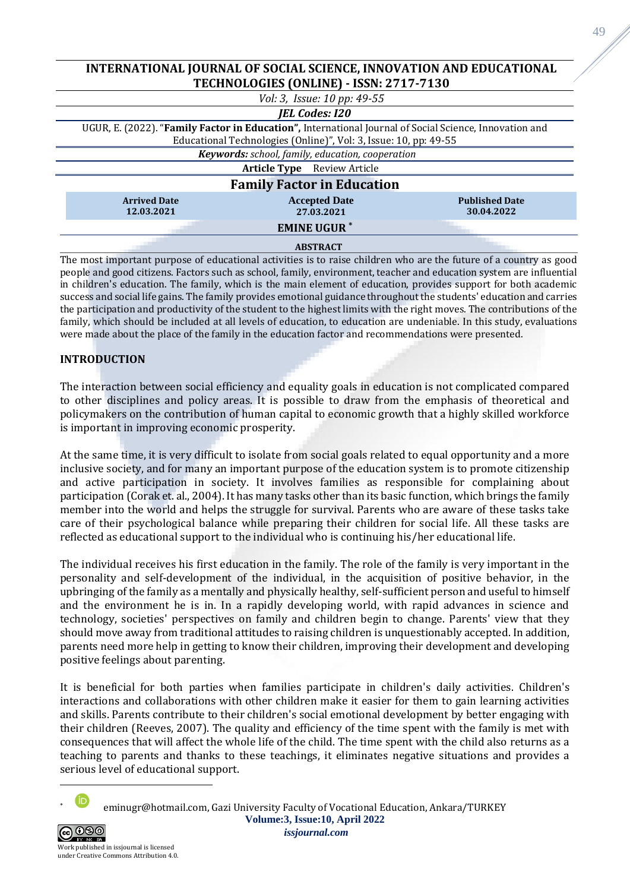| INTERNATIONAL JOURNAL OF SOCIAL SCIENCE, INNOVATION AND EDUCATIONAL                                    |                      |                       |
|--------------------------------------------------------------------------------------------------------|----------------------|-----------------------|
| TECHNOLOGIES (ONLINE) - ISSN: 2717-7130                                                                |                      |                       |
| Vol: 3, Issue: 10 pp: 49-55                                                                            |                      |                       |
| <b>JEL Codes: I20</b>                                                                                  |                      |                       |
| UGUR, E. (2022). "Family Factor in Education", International Journal of Social Science, Innovation and |                      |                       |
| Educational Technologies (Online)", Vol: 3, Issue: 10, pp: 49-55                                       |                      |                       |
| Keywords: school, family, education, cooperation                                                       |                      |                       |
| <b>Article Type</b> Review Article                                                                     |                      |                       |
| <b>Family Factor in Education</b>                                                                      |                      |                       |
| <b>Arrived Date</b>                                                                                    | <b>Accepted Date</b> | <b>Published Date</b> |
| 12.03.2021                                                                                             | 27.03.2021           | 30.04.2022            |
| <b>EMINE UGUR*</b>                                                                                     |                      |                       |
|                                                                                                        | <b>ABSTRACT</b>      |                       |

The most important purpose of educational activities is to raise children who are the future of a country as good people and good citizens. Factors such as school, family, environment, teacher and education system are influential in children's education. The family, which is the main element of education, provides support for both academic success and social life gains. The family provides emotional guidance throughout the students' education and carries the participation and productivity of the student to the highest limits with the right moves. The contributions of the family, which should be included at all levels of education, to education are undeniable. In this study, evaluations were made about the place of the family in the education factor and recommendations were presented.

# **INTRODUCTION**

The interaction between social efficiency and equality goals in education is not complicated compared to other disciplines and policy areas. It is possible to draw from the emphasis of theoretical and policymakers on the contribution of human capital to economic growth that a highly skilled workforce is important in improving economic prosperity.

At the same time, it is very difficult to isolate from social goals related to equal opportunity and a more inclusive society, and for many an important purpose of the education system is to promote citizenship and active participation in society. It involves families as responsible for complaining about participation (Corak et. al., 2004). It has many tasks other than its basic function, which brings the family member into the world and helps the struggle for survival. Parents who are aware of these tasks take care of their psychological balance while preparing their children for social life. All these tasks are reflected as educational support to the individual who is continuing his/her educational life.

The individual receives his first education in the family. The role of the family is very important in the personality and self-development of the individual, in the acquisition of positive behavior, in the upbringing of the family as a mentally and physically healthy, self-sufficient person and useful to himself and the environment he is in. In a rapidly developing world, with rapid advances in science and technology, societies' perspectives on family and children begin to change. Parents' view that they should move away from traditional attitudes to raising children is unquestionably accepted. In addition, parents need more help in getting to know their children, improving their development and developing positive feelings about parenting.

It is beneficial for both parties when families participate in children's daily activities. Children's interactions and collaborations with other children make it easier for them to gain learning activities and skills. Parents contribute to their children's social emotional development by better engaging with their children (Reeves, 2007). The quality and efficiency of the time spent with the family is met with consequences that will affect the whole life of the child. The time spent with the child also returns as a teaching to parents and thanks to these teachings, it eliminates negative situations and provides a serious level of educational support.

**Volume:3, Issue:10, April 2022** eminugr@hotmail.com, Gazi University Faculty of Vocational Education, Ankara/TURKEY



*issjournal.com*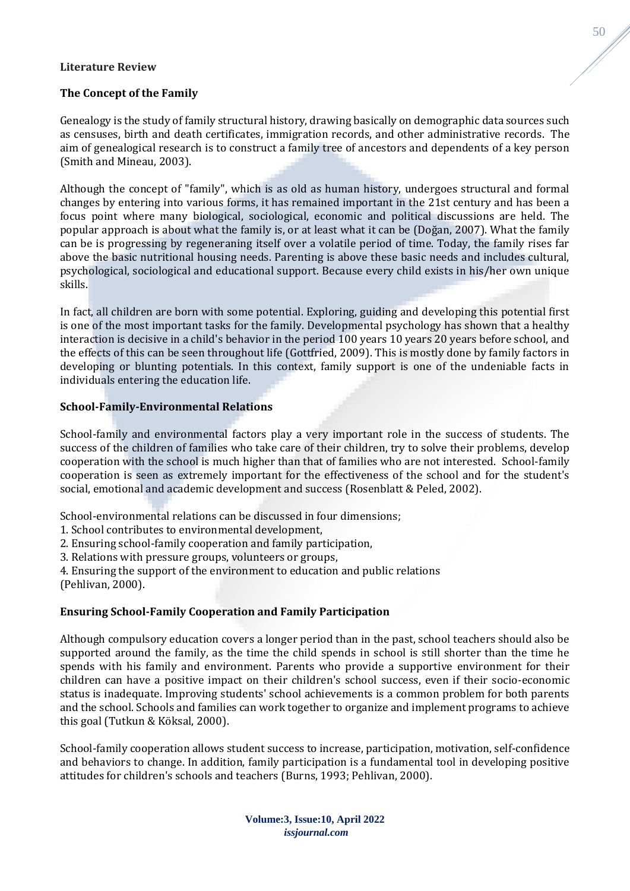## **Literature Review**

## **The Concept of the Family**

Genealogy is the study of family structural history, drawing basically on demographic data sources such as censuses, birth and death certificates, immigration records, and other administrative records. The aim of genealogical research is to construct a family tree of ancestors and dependents of a key person (Smith and Mineau, 2003).

Although the concept of "family", which is as old as human history, undergoes structural and formal changes by entering into various forms, it has remained important in the 21st century and has been a focus point where many biological, sociological, economic and political discussions are held. The popular approach is about what the family is, or at least what it can be (Doğan, 2007). What the family can be is progressing by regeneraning itself over a volatile period of time. Today, the family rises far above the basic nutritional housing needs. Parenting is above these basic needs and includes cultural, psychological, sociological and educational support. Because every child exists in his/her own unique skills.

In fact, all children are born with some potential. Exploring, guiding and developing this potential first is one of the most important tasks for the family. Developmental psychology has shown that a healthy interaction is decisive in a child's behavior in the period 100 years 10 years 20 years before school, and the effects of this can be seen throughout life (Gottfried, 2009). This is mostly done by family factors in developing or blunting potentials. In this context, family support is one of the undeniable facts in individuals entering the education life.

## **School-Family-Environmental Relations**

School-family and environmental factors play a very important role in the success of students. The success of the children of families who take care of their children, try to solve their problems, develop cooperation with the school is much higher than that of families who are not interested. School-family cooperation is seen as extremely important for the effectiveness of the school and for the student's social, emotional and academic development and success (Rosenblatt & Peled, 2002).

School-environmental relations can be discussed in four dimensions;

- 1. School contributes to environmental development,
- 2. Ensuring school-family cooperation and family participation,
- 3. Relations with pressure groups, volunteers or groups,

4. Ensuring the support of the environment to education and public relations (Pehlivan, 2000).

#### **Ensuring School-Family Cooperation and Family Participation**

Although compulsory education covers a longer period than in the past, school teachers should also be supported around the family, as the time the child spends in school is still shorter than the time he spends with his family and environment. Parents who provide a supportive environment for their children can have a positive impact on their children's school success, even if their socio-economic status is inadequate. Improving students' school achievements is a common problem for both parents and the school. Schools and families can work together to organize and implement programs to achieve this goal (Tutkun & Köksal, 2000).

School-family cooperation allows student success to increase, participation, motivation, self-confidence and behaviors to change. In addition, family participation is a fundamental tool in developing positive attitudes for children's schools and teachers (Burns, 1993; Pehlivan, 2000).

> **Volume:3, Issue:10, April 2022** *issjournal.com*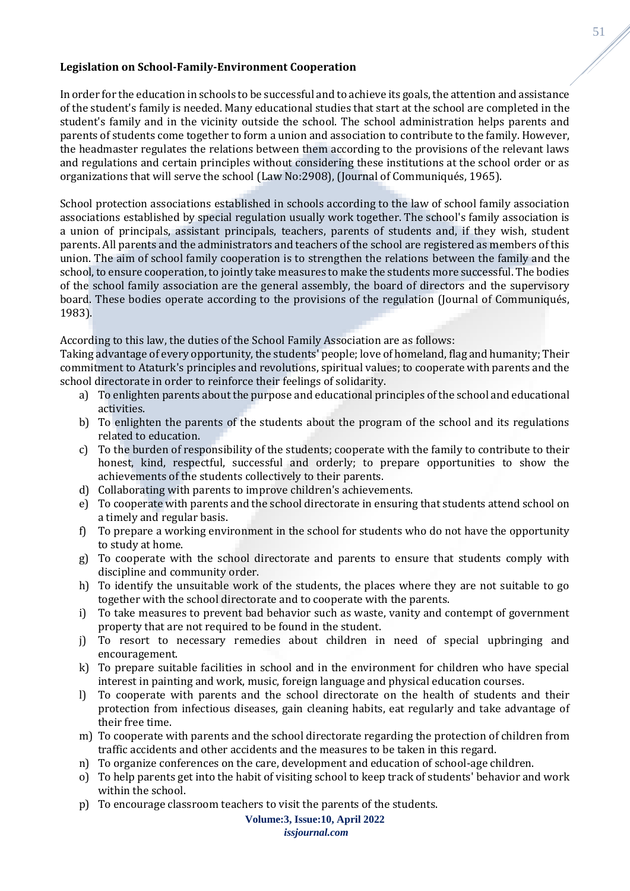## **Legislation on School-Family-Environment Cooperation**

In order for the education in schools to be successful and to achieve its goals, the attention and assistance of the student's family is needed. Many educational studies that start at the school are completed in the student's family and in the vicinity outside the school. The school administration helps parents and parents of students come together to form a union and association to contribute to the family. However, the headmaster regulates the relations between them according to the provisions of the relevant laws and regulations and certain principles without considering these institutions at the school order or as organizations that will serve the school (Law No:2908), (Journal of Communiqués, 1965).

School protection associations established in schools according to the law of school family association associations established by special regulation usually work together. The school's family association is a union of principals, assistant principals, teachers, parents of students and, if they wish, student parents. All parents and the administrators and teachers of the school are registered as members of this union. The aim of school family cooperation is to strengthen the relations between the family and the school, to ensure cooperation, to jointly take measures to make the students more successful. The bodies of the school family association are the general assembly, the board of directors and the supervisory board. These bodies operate according to the provisions of the regulation (Journal of Communiqués, 1983).

## According to this law, the duties of the School Family Association are as follows:

Taking advantage of every opportunity, the students' people; love of homeland, flag and humanity; Their commitment to Ataturk's principles and revolutions, spiritual values; to cooperate with parents and the school directorate in order to reinforce their feelings of solidarity.

- a) To enlighten parents about the purpose and educational principles of the school and educational activities.
- b) To enlighten the parents of the students about the program of the school and its regulations related to education.
- c) To the burden of responsibility of the students; cooperate with the family to contribute to their honest, kind, respectful, successful and orderly; to prepare opportunities to show the achievements of the students collectively to their parents.
- d) Collaborating with parents to improve children's achievements.
- e) To cooperate with parents and the school directorate in ensuring that students attend school on a timely and regular basis.
- f) To prepare a working environment in the school for students who do not have the opportunity to study at home.
- g) To cooperate with the school directorate and parents to ensure that students comply with discipline and community order.
- h) To identify the unsuitable work of the students, the places where they are not suitable to go together with the school directorate and to cooperate with the parents.
- i) To take measures to prevent bad behavior such as waste, vanity and contempt of government property that are not required to be found in the student.
- j) To resort to necessary remedies about children in need of special upbringing and encouragement.
- k) To prepare suitable facilities in school and in the environment for children who have special interest in painting and work, music, foreign language and physical education courses.
- l) To cooperate with parents and the school directorate on the health of students and their protection from infectious diseases, gain cleaning habits, eat regularly and take advantage of their free time.
- m) To cooperate with parents and the school directorate regarding the protection of children from traffic accidents and other accidents and the measures to be taken in this regard.
- n) To organize conferences on the care, development and education of school-age children.
- o) To help parents get into the habit of visiting school to keep track of students' behavior and work within the school.
- p) To encourage classroom teachers to visit the parents of the students.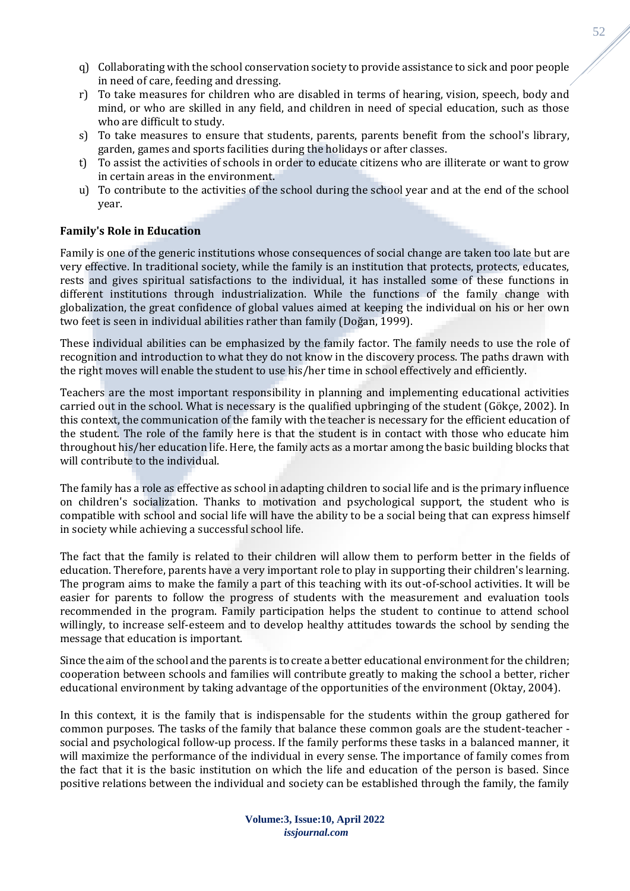- q) Collaborating with the school conservation society to provide assistance to sick and poor people in need of care, feeding and dressing.
- r) To take measures for children who are disabled in terms of hearing, vision, speech, body and mind, or who are skilled in any field, and children in need of special education, such as those who are difficult to study.
- s) To take measures to ensure that students, parents, parents benefit from the school's library, garden, games and sports facilities during the holidays or after classes.
- t) To assist the activities of schools in order to educate citizens who are illiterate or want to grow in certain areas in the environment.
- u) To contribute to the activities of the school during the school year and at the end of the school year.

# **Family's Role in Education**

Family is one of the generic institutions whose consequences of social change are taken too late but are very effective. In traditional society, while the family is an institution that protects, protects, educates, rests and gives spiritual satisfactions to the individual, it has installed some of these functions in different institutions through industrialization. While the functions of the family change with globalization, the great confidence of global values aimed at keeping the individual on his or her own two feet is seen in individual abilities rather than family (Doğan, 1999).

These individual abilities can be emphasized by the family factor. The family needs to use the role of recognition and introduction to what they do not know in the discovery process. The paths drawn with the right moves will enable the student to use his/her time in school effectively and efficiently.

Teachers are the most important responsibility in planning and implementing educational activities carried out in the school. What is necessary is the qualified upbringing of the student (Gökçe, 2002). In this context, the communication of the family with the teacher is necessary for the efficient education of the student. The role of the family here is that the student is in contact with those who educate him throughout his/her education life. Here, the family acts as a mortar among the basic building blocks that will contribute to the individual.

The family has a role as effective as school in adapting children to social life and is the primary influence on children's socialization. Thanks to motivation and psychological support, the student who is compatible with school and social life will have the ability to be a social being that can express himself in society while achieving a successful school life.

The fact that the family is related to their children will allow them to perform better in the fields of education. Therefore, parents have a very important role to play in supporting their children's learning. The program aims to make the family a part of this teaching with its out-of-school activities. It will be easier for parents to follow the progress of students with the measurement and evaluation tools recommended in the program. Family participation helps the student to continue to attend school willingly, to increase self-esteem and to develop healthy attitudes towards the school by sending the message that education is important.

Since the aim of the school and the parents is to create a better educational environment for the children; cooperation between schools and families will contribute greatly to making the school a better, richer educational environment by taking advantage of the opportunities of the environment (Oktay, 2004).

In this context, it is the family that is indispensable for the students within the group gathered for common purposes. The tasks of the family that balance these common goals are the student-teacher social and psychological follow-up process. If the family performs these tasks in a balanced manner, it will maximize the performance of the individual in every sense. The importance of family comes from the fact that it is the basic institution on which the life and education of the person is based. Since positive relations between the individual and society can be established through the family, the family

> **Volume:3, Issue:10, April 2022** *issjournal.com*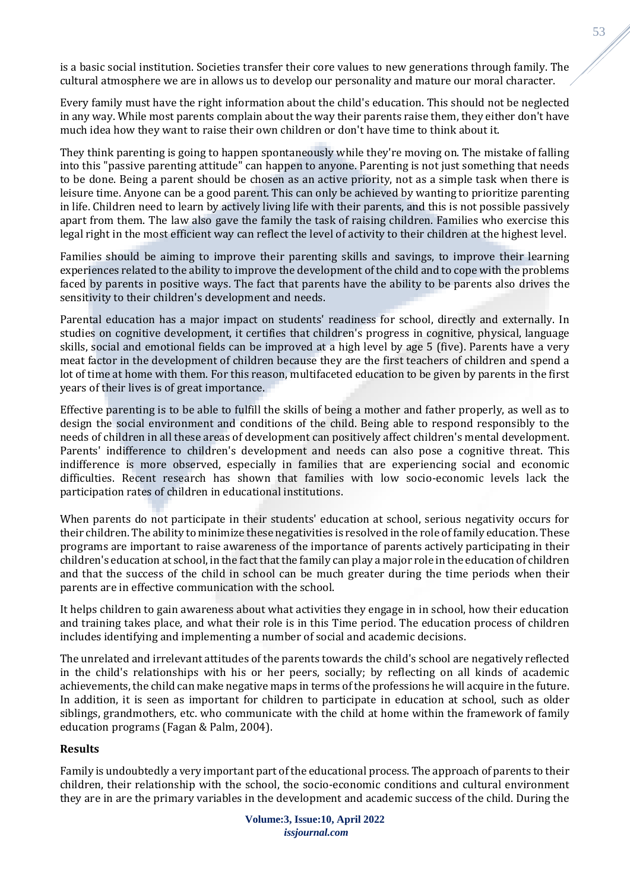is a basic social institution. Societies transfer their core values to new generations through family. The cultural atmosphere we are in allows us to develop our personality and mature our moral character.

Every family must have the right information about the child's education. This should not be neglected in any way. While most parents complain about the way their parents raise them, they either don't have much idea how they want to raise their own children or don't have time to think about it.

They think parenting is going to happen spontaneously while they're moving on. The mistake of falling into this "passive parenting attitude" can happen to anyone. Parenting is not just something that needs to be done. Being a parent should be chosen as an active priority, not as a simple task when there is leisure time. Anyone can be a good parent. This can only be achieved by wanting to prioritize parenting in life. Children need to learn by actively living life with their parents, and this is not possible passively apart from them. The law also gave the family the task of raising children. Families who exercise this legal right in the most efficient way can reflect the level of activity to their children at the highest level.

Families should be aiming to improve their parenting skills and savings, to improve their learning experiences related to the ability to improve the development of the child and to cope with the problems faced by parents in positive ways. The fact that parents have the ability to be parents also drives the sensitivity to their children's development and needs.

Parental education has a major impact on students' readiness for school, directly and externally. In studies on cognitive development, it certifies that children's progress in cognitive, physical, language skills, social and emotional fields can be improved at a high level by age 5 (five). Parents have a very meat factor in the development of children because they are the first teachers of children and spend a lot of time at home with them. For this reason, multifaceted education to be given by parents in the first years of their lives is of great importance.

Effective parenting is to be able to fulfill the skills of being a mother and father properly, as well as to design the social environment and conditions of the child. Being able to respond responsibly to the needs of children in all these areas of development can positively affect children's mental development. Parents' indifference to children's development and needs can also pose a cognitive threat. This indifference is more observed, especially in families that are experiencing social and economic difficulties. Recent research has shown that families with low socio-economic levels lack the participation rates of children in educational institutions.

When parents do not participate in their students' education at school, serious negativity occurs for their children. The ability to minimize these negativities is resolved in the role of family education. These programs are important to raise awareness of the importance of parents actively participating in their children's education at school, in the fact that the family can play a major role in the education of children and that the success of the child in school can be much greater during the time periods when their parents are in effective communication with the school.

It helps children to gain awareness about what activities they engage in in school, how their education and training takes place, and what their role is in this Time period. The education process of children includes identifying and implementing a number of social and academic decisions.

The unrelated and irrelevant attitudes of the parents towards the child's school are negatively reflected in the child's relationships with his or her peers, socially; by reflecting on all kinds of academic achievements, the child can make negative maps in terms of the professions he will acquire in the future. In addition, it is seen as important for children to participate in education at school, such as older siblings, grandmothers, etc. who communicate with the child at home within the framework of family education programs (Fagan & Palm, 2004).

# **Results**

Family is undoubtedly a very important part of the educational process. The approach of parents to their children, their relationship with the school, the socio-economic conditions and cultural environment they are in are the primary variables in the development and academic success of the child. During the

53

**Volume:3, Issue:10, April 2022** *issjournal.com*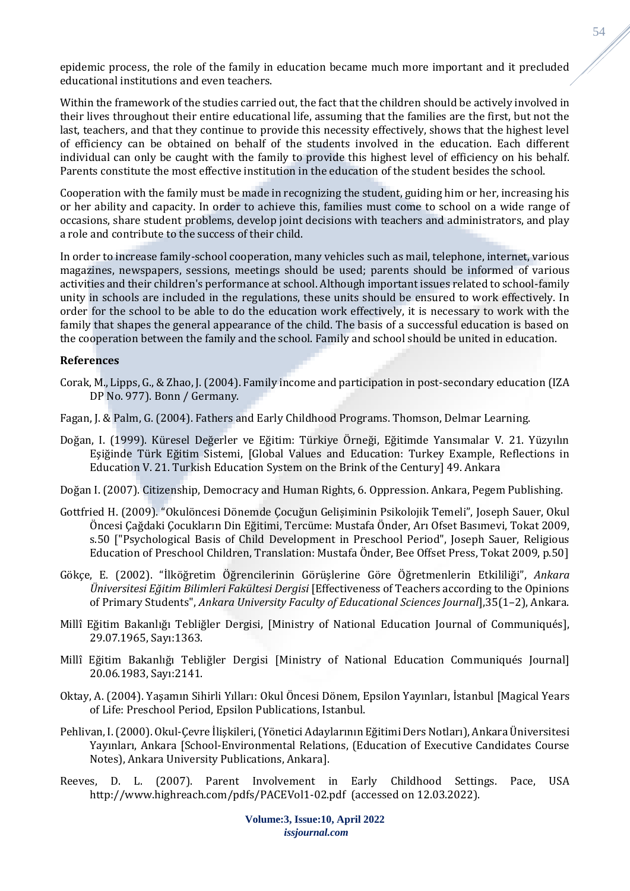epidemic process, the role of the family in education became much more important and it precluded educational institutions and even teachers.

Within the framework of the studies carried out, the fact that the children should be actively involved in their lives throughout their entire educational life, assuming that the families are the first, but not the last, teachers, and that they continue to provide this necessity effectively, shows that the highest level of efficiency can be obtained on behalf of the students involved in the education. Each different individual can only be caught with the family to provide this highest level of efficiency on his behalf. Parents constitute the most effective institution in the education of the student besides the school.

Cooperation with the family must be made in recognizing the student, guiding him or her, increasing his or her ability and capacity. In order to achieve this, families must come to school on a wide range of occasions, share student problems, develop joint decisions with teachers and administrators, and play a role and contribute to the success of their child.

In order to increase family-school cooperation, many vehicles such as mail, telephone, internet, various magazines, newspapers, sessions, meetings should be used; parents should be informed of various activities and their children's performance at school. Although important issues related to school-family unity in schools are included in the regulations, these units should be ensured to work effectively. In order for the school to be able to do the education work effectively, it is necessary to work with the family that shapes the general appearance of the child. The basis of a successful education is based on the cooperation between the family and the school. Family and school should be united in education.

#### **References**

- Corak, M., Lipps, G., & Zhao, J. (2004). Family income and participation in post-secondary education (IZA DP No. 977). Bonn / Germany.
- Fagan, J. & Palm, G. (2004). Fathers and Early Childhood Programs. Thomson, Delmar Learning.
- Doğan, I. (1999). Küresel Değerler ve Eğitim: Türkiye Örneği, Eğitimde Yansımalar V. 21. Yüzyılın Eşiğinde Türk Eğitim Sistemi, [Global Values and Education: Turkey Example, Reflections in Education V. 21. Turkish Education System on the Brink of the Century] 49. Ankara
- Doğan I. (2007). Citizenship, Democracy and Human Rights, 6. Oppression. Ankara, Pegem Publishing.
- Gottfried H. (2009). "Okulöncesi Dönemde Çocuğun Gelişiminin Psikolojik Temeli", Joseph Sauer, Okul Öncesi Çağdaki Çocukların Din Eğitimi, Tercüme: Mustafa Önder, Arı Ofset Basımevi, Tokat 2009, s.50 ["Psychological Basis of Child Development in Preschool Period", Joseph Sauer, Religious Education of Preschool Children, Translation: Mustafa Önder, Bee Offset Press, Tokat 2009, p.50]
- Gökçe, E. (2002). "İlköğretim Öğrencilerinin Görüşlerine Göre Öğretmenlerin Etkililiği", *Ankara Üniversitesi Eğitim Bilimleri Fakültesi Dergisi* [Effectiveness of Teachers according to the Opinions of Primary Students", *Ankara University Faculty of Educational Sciences Journal*],35(1–2), Ankara.
- Millî Eğitim Bakanlığı Tebliğler Dergisi, [Ministry of National Education Journal of Communiqués], 29.07.1965, Sayı:1363.
- Millî Eğitim Bakanlığı Tebliğler Dergisi [Ministry of National Education Communiqués Journal] 20.06.1983, Sayı:2141.
- Oktay, A. (2004). Yaşamın Sihirli Yılları: Okul Öncesi Dönem, Epsilon Yayınları, İstanbul [Magical Years of Life: Preschool Period, Epsilon Publications, Istanbul.
- Pehlivan, I. (2000). Okul-Çevre İlişkileri, (Yönetici Adaylarının Eğitimi Ders Notları), Ankara Üniversitesi Yayınları, Ankara [School-Environmental Relations, (Education of Executive Candidates Course Notes), Ankara University Publications, Ankara].
- Reeves, D. L. (2007). Parent Involvement in Early Childhood Settings. Pace, USA http://www.highreach.com/pdfs/PACEVol1-02.pdf (accessed on 12.03.2022).

**Volume:3, Issue:10, April 2022** *issjournal.com*